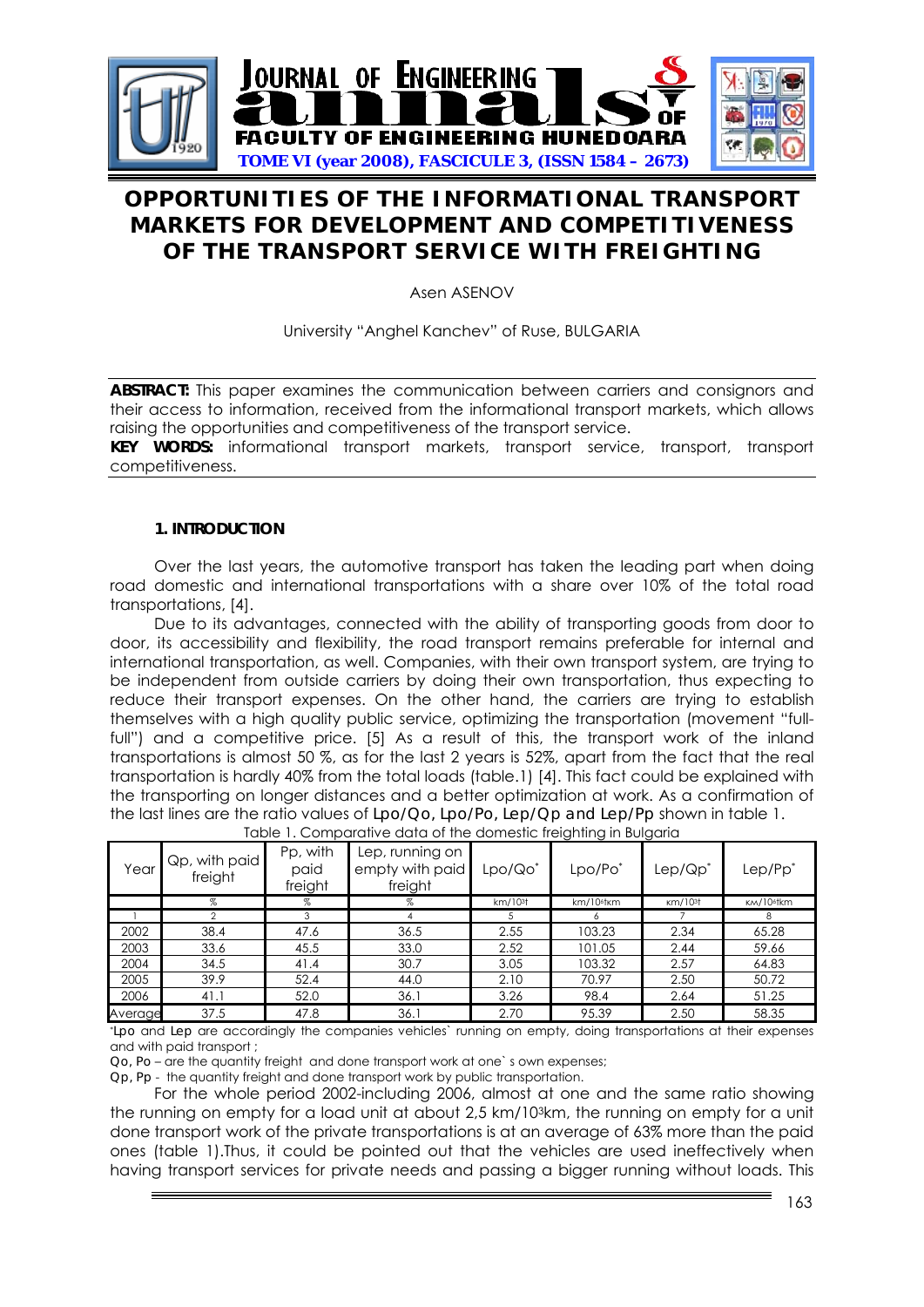

# **OPPORTUNITIES OF THE INFORMATIONAL TRANSPORT MARKETS FOR DEVELOPMENT AND COMPETITIVENESS OF THE TRANSPORT SERVICE WITH FREIGHTING**

Asen ASENOV

University "Anghel Kanchev" of Ruse, BULGARIA

**ABSTRACT:** This paper examines the communication between carriers and consignors and their access to information, received from the informational transport markets, which allows raising the opportunities and competitiveness of the transport service.

**KEY WORDS:** informational transport markets, transport service, transport, transport competitiveness.

### **1. INTRODUCTION**

Over the last years, the automotive transport has taken the leading part when doing road domestic and international transportations with a share over 10% of the total road transportations, [4].

Due to its advantages, connected with the ability of transporting goods from door to door, its accessibility and flexibility, the road transport remains preferable for internal and international transportation, as well. Companies, with their own transport system, are trying to be independent from outside carriers by doing their own transportation, thus expecting to reduce their transport expenses. On the other hand, the carriers are trying to establish themselves with a high quality public service, optimizing the transportation (movement "fullfull") and a competitive price. [5] As a result of this, the transport work of the inland transportations is almost 50 %, as for the last 2 years is 52%, apart from the fact that the real transportation is hardly 40% from the total loads (table.1) [4]. This fact could be explained with the transporting on longer distances and a better optimization at work. As a confirmation of the last lines are the ratio values of *Lpo/Qo, Lpo/Po, Lep/Qp and Lep/Pp* shown in table 1.

|         |                          |                             |                                               |                     | $\tilde{\phantom{a}}$<br>$\sim$ | $\tilde{\phantom{a}}$ |                        |
|---------|--------------------------|-----------------------------|-----------------------------------------------|---------------------|---------------------------------|-----------------------|------------------------|
| Year    | Qp, with paid<br>freight | Pp, with<br>paid<br>freight | Lep, running on<br>empty with paid<br>freight | Lpo/Qo*             | Lpo/Po <sup>*</sup>             | Lep/Qp <sup>*</sup>   | Lep/Pp <sup>*</sup>    |
|         | %                        | %                           | %                                             | km/10 <sup>3†</sup> | $km/10$ <sup>6</sup> $km$       | km/10 <sup>3</sup>    | KM/10 <sup>6</sup> tkm |
|         |                          |                             |                                               |                     |                                 |                       | 8                      |
| 2002    | 38.4                     | 47.6                        | 36.5                                          | 2.55                | 103.23                          | 2.34                  | 65.28                  |
| 2003    | 33.6                     | 45.5                        | 33.0                                          | 2.52                | 101.05                          | 2.44                  | 59.66                  |
| 2004    | 34.5                     | 41.4                        | 30.7                                          | 3.05                | 103.32                          | 2.57                  | 64.83                  |
| 2005    | 39.9                     | 52.4                        | 44.0                                          | 2.10                | 70.97                           | 2.50                  | 50.72                  |
| 2006    | 41.1                     | 52.0                        | 36.1                                          | 3.26                | 98.4                            | 2.64                  | 51.25                  |
| Average | 37.5                     | 47.8                        | 36.1                                          | 2.70                | 95.39                           | 2.50                  | 58.35                  |

Table 1. Comparative data of the domestic freighting in Bulgaria

\**Lpo* and *Lep* are accordingly the companies vehicles` running on empty, doing transportations at their expenses and with paid transport ;

*Qo, Po* – are the quantity freight and done transport work at one` s own expenses;

*Qp, Pp* - the quantity freight and done transport work by public transportation.

For the whole period 2002-including 2006, almost at one and the same ratio showing the running on empty for a load unit at about 2,5 km/103km, the running on empty for a unit done transport work of the private transportations is at an average of 63% more than the paid ones (table 1).Thus, it could be pointed out that the vehicles are used ineffectively when having transport services for private needs and passing a bigger running without loads. This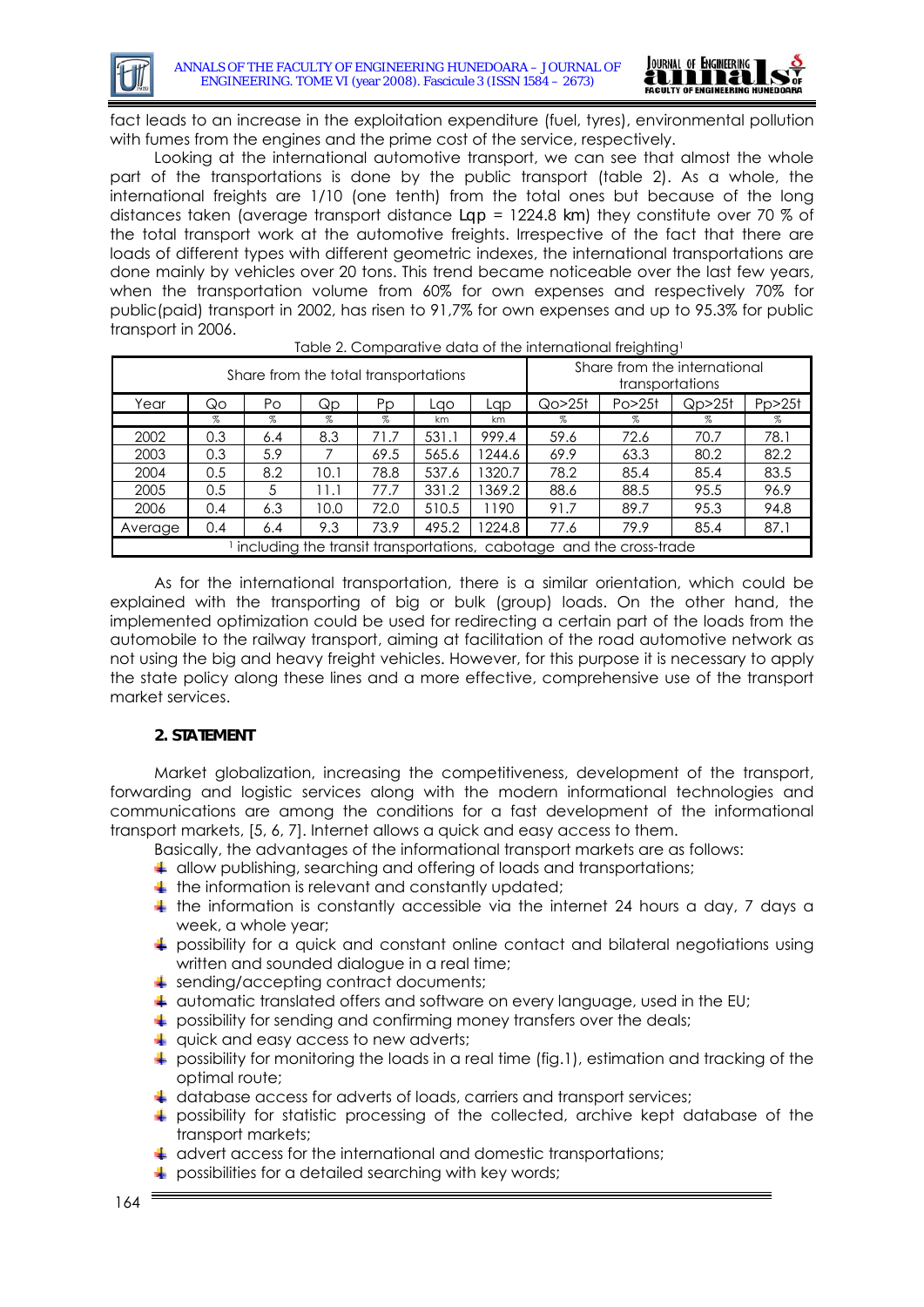

fact leads to an increase in the exploitation expenditure (fuel, tyres), environmental pollution with fumes from the engines and the prime cost of the service, respectively.

Looking at the international automotive transport, we can see that almost the whole part of the transportations is done by the public transport (table 2). As a whole, the international freights are 1/10 (one tenth) from the total ones but because of the long distances taken (average transport distance *Lqp* = 1224.8 *km*) they constitute over 70 % of the total transport work at the automotive freights. Irrespective of the fact that there are loads of different types with different geometric indexes, the international transportations are done mainly by vehicles over 20 tons. This trend became noticeable over the last few years, when the transportation volume from 60% for own expenses and respectively 70% for public(paid) transport in 2002, has risen to 91,7% for own expenses and up to 95.3% for public transport in 2006.

| ری استان برای استان در استان برای استان برای استان برای استان برای استان برای استان برای استان برای استان برای<br>Share from the total transportations |     |      |      |      |       | Share from the international<br>transportations |                                 |      |      |        |
|--------------------------------------------------------------------------------------------------------------------------------------------------------|-----|------|------|------|-------|-------------------------------------------------|---------------------------------|------|------|--------|
| Year                                                                                                                                                   | Qo  | Po   | Qp   | Pp   | Lao   | Lap                                             | Qo > 251<br>Po > 25f<br>Qp > 25 |      |      | Pp>25f |
|                                                                                                                                                        | %   | $\%$ | $\%$ | %    | km    | km                                              | $\%$                            | %    | %    | %      |
| 2002                                                                                                                                                   | 0.3 | 6.4  | 8.3  | 71.7 | 531.1 | 999.4                                           | 59.6                            | 72.6 | 70.7 | 78.1   |
| 2003                                                                                                                                                   | 0.3 | 5.9  |      | 69.5 | 565.6 | 244.6                                           | 69.9                            | 63.3 | 80.2 | 82.2   |
| 2004                                                                                                                                                   | 0.5 | 8.2  | 10.1 | 78.8 | 537.6 | 1320.7                                          | 78.2                            | 85.4 | 85.4 | 83.5   |
| 2005                                                                                                                                                   | 0.5 | 5    | 11.1 | 77.7 | 331.2 | 369.2                                           | 88.6                            | 88.5 | 95.5 | 96.9   |
| 2006                                                                                                                                                   | 0.4 | 6.3  | 10.0 | 72.0 | 510.5 | 1190                                            | 91.7                            | 89.7 | 95.3 | 94.8   |
| Average                                                                                                                                                | 0.4 | 6.4  | 9.3  | 73.9 | 495.2 | 224.8                                           | 77.6                            | 79.9 | 85.4 | 87.1   |
| including the transit transportations, cabotage and the cross-trade                                                                                    |     |      |      |      |       |                                                 |                                 |      |      |        |

Table 2. Comparative data of the international freighting1

As for the international transportation, there is a similar orientation, which could be explained with the transporting of big or bulk (group) loads. On the other hand, the implemented optimization could be used for redirecting a certain part of the loads from the automobile to the railway transport, aiming at facilitation of the road automotive network as not using the big and heavy freight vehicles. However, for this purpose it is necessary to apply the state policy along these lines and a more effective, comprehensive use of the transport market services.

### **2. STATEMENT**

Market globalization, increasing the competitiveness, development of the transport, forwarding and logistic services along with the modern informational technologies and communications are among the conditions for a fast development of the informational transport markets, [5, 6, 7]. Internet allows a quick and easy access to them.

Basically, the advantages of the informational transport markets are as follows:

- $\overline{\phantom{a}}$  allow publishing, searching and offering of loads and transportations;
- $\ddagger$  the information is relevant and constantly updated;
- $\ddotmark$  the information is constantly accessible via the internet 24 hours a day, 7 days a week, a whole year;
- $\ddagger$  possibility for a quick and constant online contact and bilateral negotiations using written and sounded dialogue in a real time;
- sending/accepting contract documents;
- $\ddotplus$  automatic translated offers and software on every language, used in the EU;
- possibility for sending and confirming money transfers over the deals;
- $\downarrow$  quick and easy access to new adverts;
- $\blacktriangle$  possibility for monitoring the loads in a real time (fig.1), estimation and tracking of the optimal route;
- $\downarrow$  database access for adverts of loads, carriers and transport services;
- $\frac{1}{2}$  possibility for statistic processing of the collected, archive kept database of the transport markets;
- $\ddot$  advert access for the international and domestic transportations;
- possibilities for a detailed searching with key words;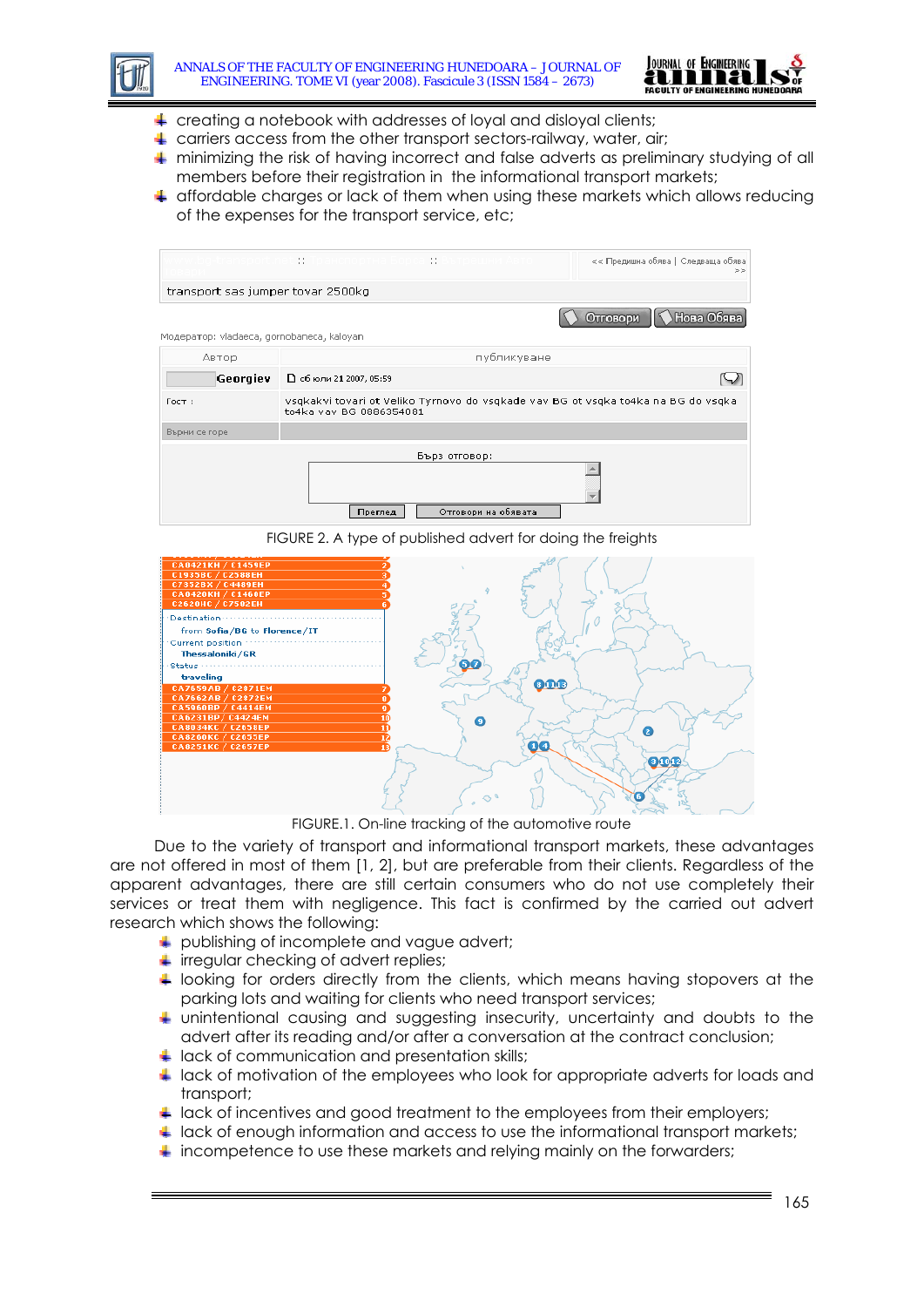



- $\overline{\phantom{a}}$  creating a notebook with addresses of loyal and disloyal clients;
- $\ddot{\phantom{1}}$  carriers access from the other transport sectors-railway, water, air;
- $+$  minimizing the risk of having incorrect and false adverts as preliminary studying of all members before their registration in the informational transport markets;
- $\ddot{\phantom{1}}$  affordable charges or lack of them when using these markets which allows reducing of the expenses for the transport service, etc;

|                                            | << Предишна обява   Следваща обява <br>$>$ $>$                                                               |                       |  |  |  |  |
|--------------------------------------------|--------------------------------------------------------------------------------------------------------------|-----------------------|--|--|--|--|
| transport sas jumper tovar 2500kg          |                                                                                                              |                       |  |  |  |  |
|                                            |                                                                                                              | Нова Обя<br>Отговори, |  |  |  |  |
| Модератор: vladaeca, gornobaneca, kaloyan. |                                                                                                              |                       |  |  |  |  |
| Автор                                      | публикуване                                                                                                  |                       |  |  |  |  |
| Georgiev                                   | □ сбюли 21 2007, 05:59                                                                                       |                       |  |  |  |  |
| $T$ $OCT$ :                                | vsgkakvi tovari ot Veliko Tyrnovo do vsgkade vav BG ot vsgka to4ka na BG do vsgka<br>to4ka vav BG 0886354081 |                       |  |  |  |  |
| Върни се горе                              |                                                                                                              |                       |  |  |  |  |
|                                            | Бърз отговор:                                                                                                |                       |  |  |  |  |
|                                            | Отговори на обявата<br>Преглед                                                                               |                       |  |  |  |  |

FIGURE 2. A type of published advert for doing the freights



FIGURE.1. On-line tracking of the automotive route

Due to the variety of transport and informational transport markets, these advantages are not offered in most of them [1, 2], but are preferable from their clients. Regardless of the apparent advantages, there are still certain consumers who do not use completely their services or treat them with negligence. This fact is confirmed by the carried out advert research which shows the following:

- publishing of incomplete and vague advert;
- $\overline{\phantom{a}}$  irregular checking of advert replies;
- $\ddot{\phantom{1}}$  looking for orders directly from the clients, which means having stopovers at the parking lots and waiting for clients who need transport services;
- unintentional causing and suggesting insecurity, uncertainty and doubts to the advert after its reading and/or after a conversation at the contract conclusion;
- $\perp$  lack of communication and presentation skills;
- **Lack of motivation of the employees who look for appropriate adverts for loads and** transport;
- $\Box$  lack of incentives and good treatment to the employees from their employers;
- $\ddot{\phantom{1}}$  lack of enough information and access to use the informational transport markets;
- $\blacksquare$  incompetence to use these markets and relying mainly on the forwarders;